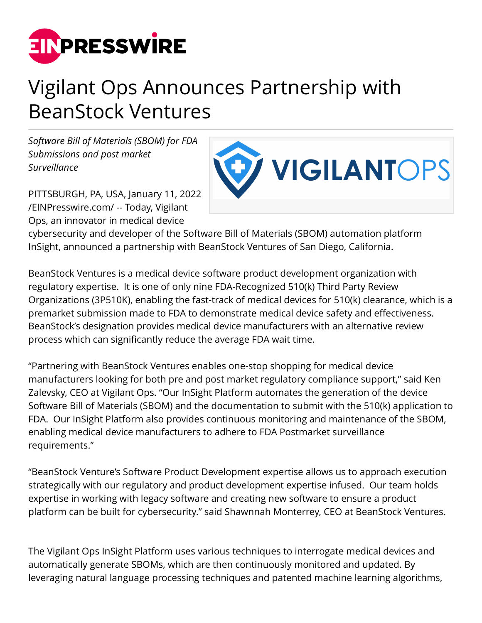

## Vigilant Ops Announces Partnership with BeanStock Ventures

*Software Bill of Materials (SBOM) for FDA Submissions and post market Surveillance*



PITTSBURGH, PA, USA, January 11, 2022 [/EINPresswire.com/](http://www.einpresswire.com) -- Today, Vigilant Ops, an innovator in medical device

cybersecurity and developer of the Software Bill of Materials (SBOM) automation platform InSight, announced a partnership with BeanStock Ventures of San Diego, California.

BeanStock Ventures is a medical device software product development organization with regulatory expertise. It is one of only nine FDA-Recognized 510(k) Third Party Review Organizations (3P510K), enabling the fast-track of medical devices for 510(k) clearance, which is a premarket submission made to FDA to demonstrate medical device safety and effectiveness. BeanStock's designation provides medical device manufacturers with an alternative review process which can significantly reduce the average FDA wait time.

"Partnering with BeanStock Ventures enables one-stop shopping for medical device manufacturers looking for both pre and post market regulatory compliance support," said Ken Zalevsky, CEO at Vigilant Ops. "Our InSight Platform automates the generation of the device Software Bill of Materials (SBOM) and the documentation to submit with the 510(k) application to FDA. Our InSight Platform also provides continuous monitoring and maintenance of the SBOM, enabling medical device manufacturers to adhere to FDA Postmarket surveillance requirements."

"BeanStock Venture's Software Product Development expertise allows us to approach execution strategically with our regulatory and product development expertise infused. Our team holds expertise in working with legacy software and creating new software to ensure a product platform can be built for cybersecurity." said Shawnnah Monterrey, CEO at BeanStock Ventures.

The Vigilant Ops InSight Platform uses various techniques to interrogate medical devices and automatically generate SBOMs, which are then continuously monitored and updated. By leveraging natural language processing techniques and patented machine learning algorithms,